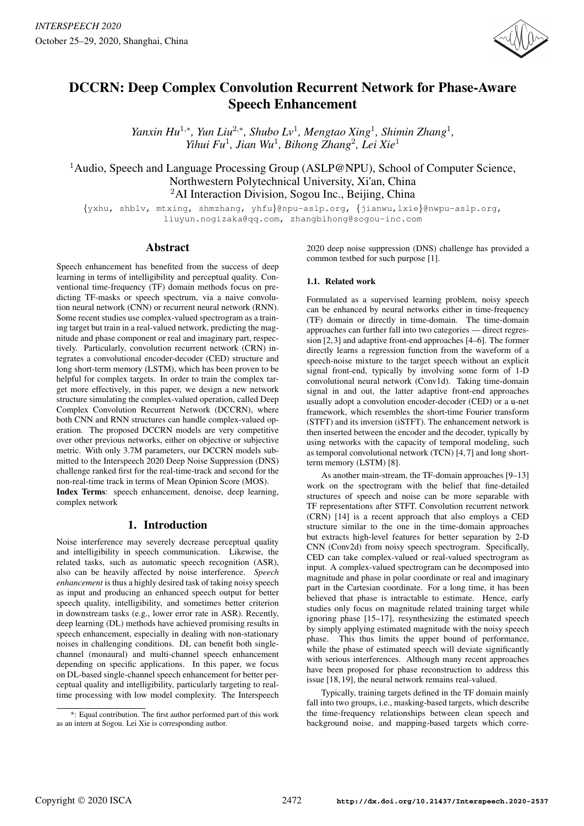

# DCCRN: Deep Complex Convolution Recurrent Network for Phase-Aware Speech Enhancement

*Yanxin Hu*<sup>1,∗</sup>, *Yun Liu*<sup>2,∗</sup>, *Shubo Lv*<sup>1</sup>, *Mengtao Xing*<sup>1</sup>, *Shimin Zhang*<sup>1</sup>, *Yihui Fu*<sup>1</sup> *, Jian Wu*<sup>1</sup> *, Bihong Zhang*<sup>2</sup> *, Lei Xie*<sup>1</sup>

<sup>1</sup>Audio, Speech and Language Processing Group (ASLP@NPU), School of Computer Science, Northwestern Polytechnical University, Xi'an, China <sup>2</sup>AI Interaction Division, Sogou Inc., Beijing, China

{yxhu, shblv, mtxing, shmzhang, yhfu}@npu-aslp.org, {jianwu,lxie}@nwpu-aslp.org, liuyun.nogizaka@qq.com, zhangbihong@sogou-inc.com

## Abstract

Speech enhancement has benefited from the success of deep learning in terms of intelligibility and perceptual quality. Conventional time-frequency (TF) domain methods focus on predicting TF-masks or speech spectrum, via a naive convolution neural network (CNN) or recurrent neural network (RNN). Some recent studies use complex-valued spectrogram as a training target but train in a real-valued network, predicting the magnitude and phase component or real and imaginary part, respectively. Particularly, convolution recurrent network (CRN) integrates a convolutional encoder-decoder (CED) structure and long short-term memory (LSTM), which has been proven to be helpful for complex targets. In order to train the complex target more effectively, in this paper, we design a new network structure simulating the complex-valued operation, called Deep Complex Convolution Recurrent Network (DCCRN), where both CNN and RNN structures can handle complex-valued operation. The proposed DCCRN models are very competitive over other previous networks, either on objective or subjective metric. With only 3.7M parameters, our DCCRN models submitted to the Interspeech 2020 Deep Noise Suppression (DNS) challenge ranked first for the real-time-track and second for the non-real-time track in terms of Mean Opinion Score (MOS). Index Terms: speech enhancement, denoise, deep learning,

complex network

# 1. Introduction

Noise interference may severely decrease perceptual quality and intelligibility in speech communication. Likewise, the related tasks, such as automatic speech recognition (ASR), also can be heavily affected by noise interference. *Speech enhancement* is thus a highly desired task of taking noisy speech as input and producing an enhanced speech output for better speech quality, intelligibility, and sometimes better criterion in downstream tasks (e.g., lower error rate in ASR). Recently, deep learning (DL) methods have achieved promising results in speech enhancement, especially in dealing with non-stationary noises in challenging conditions. DL can benefit both singlechannel (monaural) and multi-channel speech enhancement depending on specific applications. In this paper, we focus on DL-based single-channel speech enhancement for better perceptual quality and intelligibility, particularly targeting to realtime processing with low model complexity. The Interspeech 2020 deep noise suppression (DNS) challenge has provided a common testbed for such purpose [1].

#### 1.1. Related work

Formulated as a supervised learning problem, noisy speech can be enhanced by neural networks either in time-frequency (TF) domain or directly in time-domain. The time-domain approaches can further fall into two categories — direct regression [2,3] and adaptive front-end approaches [4–6]. The former directly learns a regression function from the waveform of a speech-noise mixture to the target speech without an explicit signal front-end, typically by involving some form of 1-D convolutional neural network (Conv1d). Taking time-domain signal in and out, the latter adaptive front-end approaches usually adopt a convolution encoder-decoder (CED) or a u-net framework, which resembles the short-time Fourier transform (STFT) and its inversion (iSTFT). The enhancement network is then inserted between the encoder and the decoder, typically by using networks with the capacity of temporal modeling, such as temporal convolutional network (TCN) [4, 7] and long shortterm memory (LSTM) [8].

As another main-stream, the TF-domain approaches [9–13] work on the spectrogram with the belief that fine-detailed structures of speech and noise can be more separable with TF representations after STFT. Convolution recurrent network (CRN) [14] is a recent approach that also employs a CED structure similar to the one in the time-domain approaches but extracts high-level features for better separation by 2-D CNN (Conv2d) from noisy speech spectrogram. Specifically, CED can take complex-valued or real-valued spectrogram as input. A complex-valued spectrogram can be decomposed into magnitude and phase in polar coordinate or real and imaginary part in the Cartesian coordinate. For a long time, it has been believed that phase is intractable to estimate. Hence, early studies only focus on magnitude related training target while ignoring phase [15–17], resynthesizing the estimated speech by simply applying estimated magnitude with the noisy speech phase. This thus limits the upper bound of performance, while the phase of estimated speech will deviate significantly with serious interferences. Although many recent approaches have been proposed for phase reconstruction to address this issue [18, 19], the neural network remains real-valued.

Typically, training targets defined in the TF domain mainly fall into two groups, i.e., masking-based targets, which describe the time-frequency relationships between clean speech and background noise, and mapping-based targets which corre-

<sup>\*:</sup> Equal contribution. The first author performed part of this work as an intern at Sogou. Lei Xie is corresponding author.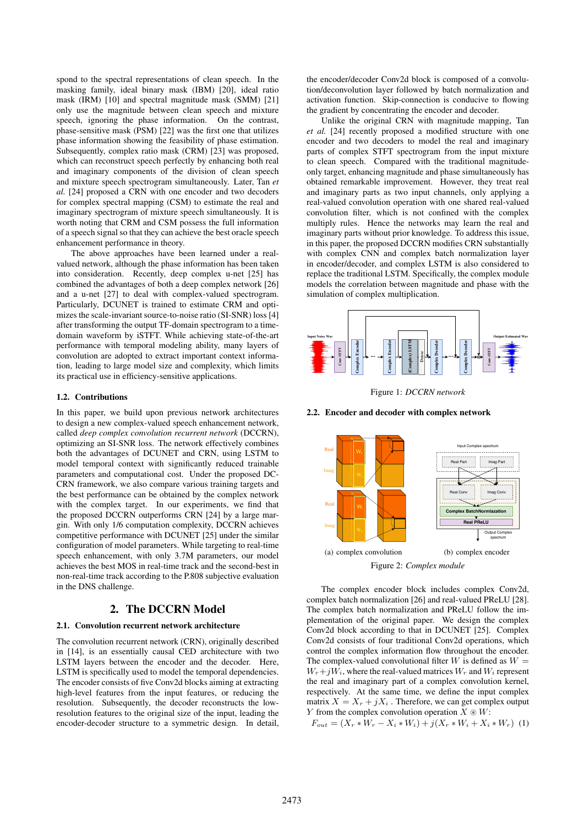spond to the spectral representations of clean speech. In the masking family, ideal binary mask (IBM) [20], ideal ratio mask (IRM) [10] and spectral magnitude mask (SMM) [21] only use the magnitude between clean speech and mixture speech, ignoring the phase information. On the contrast, phase-sensitive mask (PSM) [22] was the first one that utilizes phase information showing the feasibility of phase estimation. Subsequently, complex ratio mask (CRM) [23] was proposed, which can reconstruct speech perfectly by enhancing both real and imaginary components of the division of clean speech and mixture speech spectrogram simultaneously. Later, Tan *et al.* [24] proposed a CRN with one encoder and two decoders for complex spectral mapping (CSM) to estimate the real and imaginary spectrogram of mixture speech simultaneously. It is worth noting that CRM and CSM possess the full information of a speech signal so that they can achieve the best oracle speech enhancement performance in theory.

The above approaches have been learned under a realvalued network, although the phase information has been taken into consideration. Recently, deep complex u-net [25] has combined the advantages of both a deep complex network [26] and a u-net [27] to deal with complex-valued spectrogram. Particularly, DCUNET is trained to estimate CRM and optimizes the scale-invariant source-to-noise ratio (SI-SNR) loss [4] after transforming the output TF-domain spectrogram to a timedomain waveform by iSTFT. While achieving state-of-the-art performance with temporal modeling ability, many layers of convolution are adopted to extract important context information, leading to large model size and complexity, which limits its practical use in efficiency-sensitive applications.

#### 1.2. Contributions

In this paper, we build upon previous network architectures to design a new complex-valued speech enhancement network, called *deep complex convolution recurrent network* (DCCRN), optimizing an SI-SNR loss. The network effectively combines both the advantages of DCUNET and CRN, using LSTM to model temporal context with significantly reduced trainable parameters and computational cost. Under the proposed DC-CRN framework, we also compare various training targets and the best performance can be obtained by the complex network with the complex target. In our experiments, we find that the proposed DCCRN outperforms CRN [24] by a large margin. With only 1/6 computation complexity, DCCRN achieves competitive performance with DCUNET [25] under the similar configuration of model parameters. While targeting to real-time speech enhancement, with only 3.7M parameters, our model achieves the best MOS in real-time track and the second-best in non-real-time track according to the P.808 subjective evaluation in the DNS challenge.

# 2. The DCCRN Model

### 2.1. Convolution recurrent network architecture

The convolution recurrent network (CRN), originally described in [14], is an essentially causal CED architecture with two LSTM layers between the encoder and the decoder. Here, LSTM is specifically used to model the temporal dependencies. The encoder consists of five Conv2d blocks aiming at extracting high-level features from the input features, or reducing the resolution. Subsequently, the decoder reconstructs the lowresolution features to the original size of the input, leading the encoder-decoder structure to a symmetric design. In detail, the encoder/decoder Conv2d block is composed of a convolution/deconvolution layer followed by batch normalization and activation function. Skip-connection is conducive to flowing the gradient by concentrating the encoder and decoder.

Unlike the original CRN with magnitude mapping, Tan *et al.* [24] recently proposed a modified structure with one encoder and two decoders to model the real and imaginary parts of complex STFT spectrogram from the input mixture to clean speech. Compared with the traditional magnitudeonly target, enhancing magnitude and phase simultaneously has obtained remarkable improvement. However, they treat real and imaginary parts as two input channels, only applying a real-valued convolution operation with one shared real-valued convolution filter, which is not confined with the complex multiply rules. Hence the networks may learn the real and imaginary parts without prior knowledge. To address this issue, in this paper, the proposed DCCRN modifies CRN substantially with complex CNN and complex batch normalization layer in encoder/decoder, and complex LSTM is also considered to replace the traditional LSTM. Specifically, the complex module models the correlation between magnitude and phase with the simulation of complex multiplication.



Figure 1: *DCCRN network*



2.2. Encoder and decoder with complex network

The complex encoder block includes complex Conv2d, complex batch normalization [26] and real-valued PReLU [28]. The complex batch normalization and PReLU follow the implementation of the original paper. We design the complex Conv2d block according to that in DCUNET [25]. Complex Conv2d consists of four traditional Conv2d operations, which control the complex information flow throughout the encoder. The complex-valued convolutional filter  $W$  is defined as  $W =$  $W_r + iW_i$ , where the real-valued matrices  $W_r$  and  $W_i$  represent the real and imaginary part of a complex convolution kernel, respectively. At the same time, we define the input complex matrix  $X = X_r + jX_i$ . Therefore, we can get complex output Y from the complex convolution operation  $X \otimes W$ :

 $F_{out} = (X_r * W_r - X_i * W_i) + j(X_r * W_i + X_i * W_r)$  (1)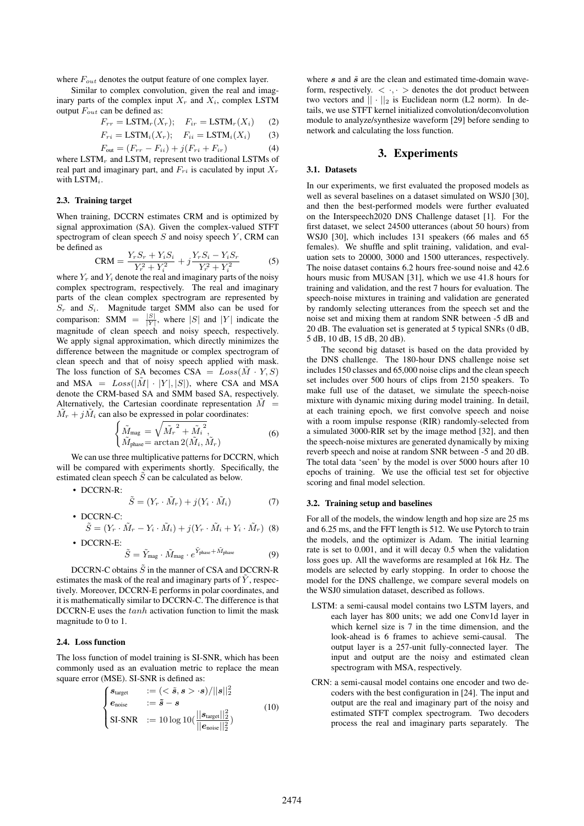where  $F_{out}$  denotes the output feature of one complex layer.

Similar to complex convolution, given the real and imaginary parts of the complex input  $X_r$  and  $X_i$ , complex LSTM output  $F_{out}$  can be defined as:

$$
F_{rr} = \text{LSTM}_r(X_r); \quad F_{ir} = \text{LSTM}_r(X_i) \tag{2}
$$

$$
F_{ri} = \text{LSTM}_i(X_r); \quad F_{ii} = \text{LSTM}_i(X_i) \tag{3}
$$

$$
F_{\text{out}} = (F_{rr} - F_{ii}) + j(F_{ri} + F_{ir})
$$
\n(4)

where  $\text{LSTM}_r$  and  $\text{LSTM}_i$  represent two traditional LSTMs of real part and imaginary part, and  $F_{ri}$  is caculated by input  $X_r$ with LSTM<sub>i</sub>.

## 2.3. Training target

When training, DCCRN estimates CRM and is optimized by signal approximation (SA). Given the complex-valued STFT spectrogram of clean speech  $S$  and noisy speech  $Y$ , CRM can be defined as

$$
CRM = \frac{Y_r S_r + Y_i S_i}{Y_r^2 + Y_i^2} + j \frac{Y_r S_i - Y_i S_r}{Y_r^2 + Y_i^2}
$$
(5)

where  $Y_r$  and  $Y_i$  denote the real and imaginary parts of the noisy complex spectrogram, respectively. The real and imaginary parts of the clean complex spectrogram are represented by  $S_r$  and  $S_i$ . Magnitude target SMM also can be used for comparison: SMM  $=$   $\frac{|S|}{|Y|}$ , where |S| and |Y| indicate the magnitude of clean speech and noisy speech, respectively. We apply signal approximation, which directly minimizes the difference between the magnitude or complex spectrogram of clean speech and that of noisy speech applied with mask. The loss function of SA becomes  $CSA = Loss(\tilde{M} \cdot Y, S)$ and MSA =  $Loss(|\tilde{M}| \cdot |Y|, |S|)$ , where CSA and MSA denote the CRM-based SA and SMM based SA, respectively. Alternatively, the Cartesian coordinate representation  $\dot{M}$  =  $\tilde{M}_r + j\tilde{M}_i$  can also be expressed in polar coordinates:

$$
\begin{cases}\n\tilde{M}_{\text{mag}} = \sqrt{\tilde{M}_r^2 + \tilde{M}_i^2},\\ \tilde{M}_{\text{phase}} = \arctan 2(\tilde{M}_i, \tilde{M}_r)\n\end{cases} \tag{6}
$$

We can use three multiplicative patterns for DCCRN, which will be compared with experiments shortly. Specifically, the estimated clean speech  $\tilde{S}$  can be calculated as below.

• DCCRN-R:

$$
\tilde{S} = (Y_r \cdot \tilde{M}_r) + j(Y_i \cdot \tilde{M}_i)
$$
\n(7)

• DCCRN-C:  $\tilde{S} = (Y_r \cdot \tilde{M}_r - Y_i \cdot \tilde{M}_i) + j(Y_r \cdot \tilde{M}_i + Y_i \cdot \tilde{M}_r)$  (8) • DCCRN-E:

$$
\tilde{S} = \tilde{Y}_{\text{mag}} \cdot \tilde{M}_{\text{mag}} \cdot e^{\tilde{Y}_{\text{phase}} + \tilde{M}_{\text{phase}}}
$$
 (9)

DCCRN-C obtains  $\tilde{S}$  in the manner of CSA and DCCRN-R estimates the mask of the real and imaginary parts of  $\overline{Y}$ , respectively. Moreover, DCCRN-E performs in polar coordinates, and it is mathematically similar to DCCRN-C. The difference is that DCCRN-E uses the tanh activation function to limit the mask magnitude to 0 to 1.

## 2.4. Loss function

The loss function of model training is SI-SNR, which has been commonly used as an evaluation metric to replace the mean square error (MSE). SI-SNR is defined as:

$$
\begin{cases}\n\mathbf{s}_{\text{target}} &:= \left( \langle \mathbf{s}, \mathbf{s} \rangle \cdot \mathbf{s} \rangle / ||\mathbf{s}||_2^2 \\
\mathbf{e}_{\text{noise}} &:= \tilde{\mathbf{s}} - \mathbf{s} \\
\text{SI-SNR} &:= 10 \log 10 \left( \frac{||\mathbf{s}_{\text{target}}||_2^2}{||\mathbf{e}_{\text{noise}}||_2^2} \right)\n\end{cases}\n\tag{10}
$$

where  $s$  and  $\tilde{s}$  are the clean and estimated time-domain waveform, respectively.  $\langle \cdot, \cdot \rangle$  denotes the dot product between two vectors and  $|| \cdot ||_2$  is Euclidean norm (L2 norm). In details, we use STFT kernel initialized convolution/deconvolution module to analyze/synthesize waveform [29] before sending to network and calculating the loss function.

#### 3. Experiments

#### 3.1. Datasets

In our experiments, we first evaluated the proposed models as well as several baselines on a dataset simulated on WSJ0 [30], and then the best-performed models were further evaluated on the Interspeech2020 DNS Challenge dataset [1]. For the first dataset, we select 24500 utterances (about 50 hours) from WSJ0 [30], which includes 131 speakers (66 males and 65 females). We shuffle and split training, validation, and evaluation sets to 20000, 3000 and 1500 utterances, respectively. The noise dataset contains 6.2 hours free-sound noise and 42.6 hours music from MUSAN [31], which we use 41.8 hours for training and validation, and the rest 7 hours for evaluation. The speech-noise mixtures in training and validation are generated by randomly selecting utterances from the speech set and the noise set and mixing them at random SNR between -5 dB and 20 dB. The evaluation set is generated at 5 typical SNRs (0 dB, 5 dB, 10 dB, 15 dB, 20 dB).

The second big dataset is based on the data provided by the DNS challenge. The 180-hour DNS challenge noise set includes 150 classes and 65,000 noise clips and the clean speech set includes over 500 hours of clips from 2150 speakers. To make full use of the dataset, we simulate the speech-noise mixture with dynamic mixing during model training. In detail, at each training epoch, we first convolve speech and noise with a room impulse response (RIR) randomly-selected from a simulated 3000-RIR set by the image method [32], and then the speech-noise mixtures are generated dynamically by mixing reverb speech and noise at random SNR between -5 and 20 dB. The total data 'seen' by the model is over 5000 hours after 10 epochs of training. We use the official test set for objective scoring and final model selection.

#### 3.2. Training setup and baselines

For all of the models, the window length and hop size are 25 ms and 6.25 ms, and the FFT length is 512. We use Pytorch to train the models, and the optimizer is Adam. The initial learning rate is set to 0.001, and it will decay 0.5 when the validation loss goes up. All the waveforms are resampled at 16k Hz. The models are selected by early stopping. In order to choose the model for the DNS challenge, we compare several models on the WSJ0 simulation dataset, described as follows.

- LSTM: a semi-causal model contains two LSTM layers, and each layer has 800 units; we add one Conv1d layer in which kernel size is 7 in the time dimension, and the look-ahead is 6 frames to achieve semi-causal. The output layer is a 257-unit fully-connected layer. The input and output are the noisy and estimated clean spectrogram with MSA, respectively.
- CRN: a semi-causal model contains one encoder and two decoders with the best configuration in [24]. The input and output are the real and imaginary part of the noisy and estimated STFT complex spectrogram. Two decoders process the real and imaginary parts separately. The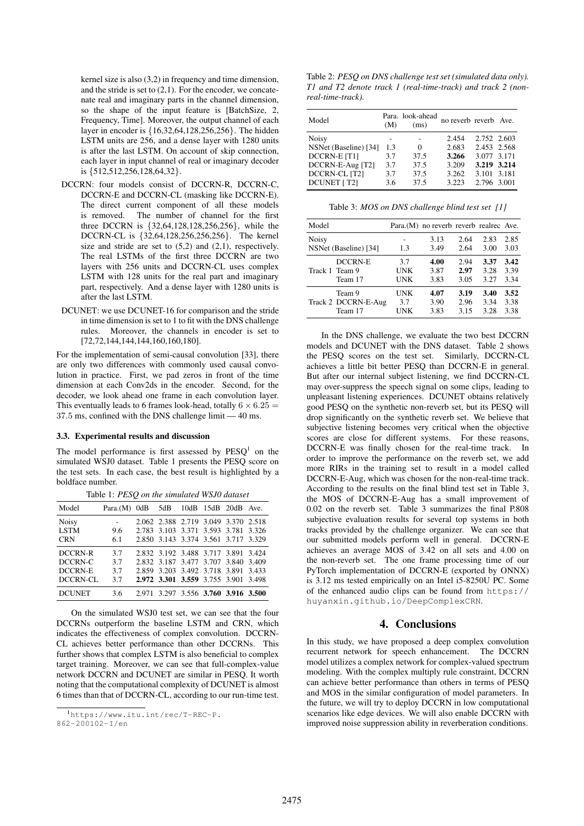kernel size is also (3,2) in frequency and time dimension, and the stride is set to  $(2,1)$ . For the encoder, we concatenate real and imaginary parts in the channel dimension, so the shape of the input feature is [BatchSize, 2, Frequency, Time]. Moreover, the output channel of each layer in encoder is {16,32,64,128,256,256}. The hidden LSTM units are 256, and a dense layer with 1280 units is after the last LSTM. On account of skip connection, each layer in input channel of real or imaginary decoder is {512,512,256,128,64,32}.

- DCCRN: four models consist of DCCRN-R, DCCRN-C, DCCRN-E and DCCRN-CL (masking like DCCRN-E). The direct current component of all these models is removed. The number of channel for the first three DCCRN is {32,64,128,128,256,256}, while the DCCRN-CL is {32,64,128,256,256,256}. The kernel size and stride are set to  $(5,2)$  and  $(2,1)$ , respectively. The real LSTMs of the first three DCCRN are two layers with 256 units and DCCRN-CL uses complex LSTM with 128 units for the real part and imaginary part, respectively. And a dense layer with 1280 units is after the last LSTM.
- DCUNET: we use DCUNET-16 for comparison and the stride in time dimension is set to 1 to fit with the DNS challenge rules. Moreover, the channels in encoder is set to [72,72,144,144,144,160,160,180].

For the implementation of semi-causal convolution [33], there are only two differences with commonly used causal convolution in practice. First, we pad zeros in front of the time dimension at each Conv2ds in the encoder. Second, for the decoder, we look ahead one frame in each convolution layer. This eventually leads to 6 frames look-head, totally  $6 \times 6.25$  = 37.5 ms, confined with the DNS challenge limit — 40 ms.

#### 3.3. Experimental results and discussion

The model performance is first assessed by  $PESQ<sup>1</sup>$  on the simulated WSJ0 dataset. Table 1 presents the PESQ score on the test sets. In each case, the best result is highlighted by a boldface number.

| rable 1. I EDO on the simulated word addition |                          |  |     |                                                                                                                                                          |  |                     |  |  |
|-----------------------------------------------|--------------------------|--|-----|----------------------------------------------------------------------------------------------------------------------------------------------------------|--|---------------------|--|--|
| Model                                         | Para. $(M)$ OdB          |  | 5dB |                                                                                                                                                          |  | 10dB 15dB 20dB Ave. |  |  |
| <b>Noisy</b><br><b>LSTM</b><br><b>CRN</b>     | $\sim$<br>9.6<br>6.1     |  |     | 2.062 2.388 2.719 3.049 3.370 2.518<br>2.783 3.103 3.371 3.593 3.781 3.326<br>2.850 3.143 3.374 3.561 3.717 3.329                                        |  |                     |  |  |
| DCCRN-R<br>DCCRN-C<br>DCCRN-E<br>DCCRN-CL     | 3.7<br>3.7<br>3.7<br>3.7 |  |     | 2.832 3.192 3.488 3.717 3.891 3.424<br>2.832 3.187 3.477 3.707 3.840 3.409<br>2.859 3.203 3.492 3.718 3.891 3.433<br>2.972 3.301 3.559 3.755 3.901 3.498 |  |                     |  |  |
| <b>DCUNET</b>                                 | 3.6                      |  |     | 2.971 3.297 3.556 3.760 3.916 3.500                                                                                                                      |  |                     |  |  |

Table 1: *PESQ on the simulated WSJ0 dataset*

On the simulated WSJ0 test set, we can see that the four DCCRNs outperform the baseline LSTM and CRN, which indicates the effectiveness of complex convolution. DCCRN-CL achieves better performance than other DCCRNs. This further shows that complex LSTM is also beneficial to complex target training. Moreover, we can see that full-complex-value network DCCRN and DCUNET are similar in PESQ. It worth noting that the computational complexity of DCUNET is almost 6 times than that of DCCRN-CL, according to our run-time test.

Table 2: *PESQ on DNS challenge test set (simulated data only). T1 and T2 denote track 1 (real-time-track) and track 2 (nonreal-time-track).*

| Model                 | (M) | Para. look-ahead<br>(ms) | no reverb reverb Ave. |             |  |
|-----------------------|-----|--------------------------|-----------------------|-------------|--|
| Noisy                 |     |                          | 2.454                 | 2.752 2.603 |  |
| NSNet (Baseline) [34] | 1.3 | 0                        | 2.683                 | 2.453 2.568 |  |
| DCCRN-E [T1]          | 3.7 | 37.5                     | 3.266                 | 3.077 3.171 |  |
| DCCRN-E-Aug [T2]      | 3.7 | 37.5                     | 3.209                 | 3.219 3.214 |  |
| DCCRN-CL [T2]         | 3.7 | 37.5                     | 3.262                 | 3.101 3.181 |  |
| <b>DCUNET</b> [T2]    | 3.6 | 37.5                     | 3.223                 | 2.796 3.001 |  |

Table 3: *MOS on DNS challenge blind test set [1]*

| Model                 |     | Para. (M) no reverb reverb realrec Ave. |      |      |      |
|-----------------------|-----|-----------------------------------------|------|------|------|
| <b>Noisy</b>          | 1.3 | 3.13                                    | 2.64 | 2.83 | 2.85 |
| NSNet (Baseline) [34] |     | 3.49                                    | 2.64 | 3.00 | 3.03 |
| <b>DCCRN-E</b>        | 3.7 | 4.00                                    | 2.94 | 3.37 | 3.42 |
| Track 1 Team 9        | UNK | 3.87                                    | 2.97 | 3.28 | 3.39 |
| Team 17               | UNK | 3.83                                    | 3.05 | 3.27 | 3.34 |
| Team 9                | UNK | 4.07                                    | 3.19 | 3.40 | 3.52 |
| Track 2 DCCRN-E-Aug   | 3.7 | 3.90                                    | 2.96 | 3.34 | 3.38 |
| Team 17               | UNK | 3.83                                    | 3.15 | 3.28 | 3.38 |

In the DNS challenge, we evaluate the two best DCCRN models and DCUNET with the DNS dataset. Table 2 shows the PESQ scores on the test set. Similarly, DCCRN-CL achieves a little bit better PESQ than DCCRN-E in general. But after our internal subject listening, we find DCCRN-CL may over-suppress the speech signal on some clips, leading to unpleasant listening experiences. DCUNET obtains relatively good PESQ on the synthetic non-reverb set, but its PESQ will drop significantly on the synthetic reverb set. We believe that subjective listening becomes very critical when the objective scores are close for different systems. For these reasons, DCCRN-E was finally chosen for the real-time track. In order to improve the performance on the reverb set, we add more RIRs in the training set to result in a model called DCCRN-E-Aug, which was chosen for the non-real-time track. According to the results on the final blind test set in Table 3, the MOS of DCCRN-E-Aug has a small improvement of 0.02 on the reverb set. Table 3 summarizes the final P.808 subjective evaluation results for several top systems in both tracks provided by the challenge organizer. We can see that our submitted models perform well in general. DCCRN-E achieves an average MOS of 3.42 on all sets and 4.00 on the non-reverb set. The one frame processing time of our PyTorch implementation of DCCRN-E (exported by ONNX) is 3.12 ms tested empirically on an Intel i5-8250U PC. Some of the enhanced audio clips can be found from https:// huyanxin.github.io/DeepComplexCRN.

## 4. Conclusions

In this study, we have proposed a deep complex convolution recurrent network for speech enhancement. The DCCRN model utilizes a complex network for complex-valued spectrum modeling. With the complex multiply rule constraint, DCCRN can achieve better performance than others in terms of PESQ and MOS in the similar configuration of model parameters. In the future, we will try to deploy DCCRN in low computational scenarios like edge devices. We will also enable DCCRN with improved noise suppression ability in reverberation conditions.

<sup>1</sup>https://www.itu.int/rec/T-REC-P.

<sup>862-200102-</sup>I/en